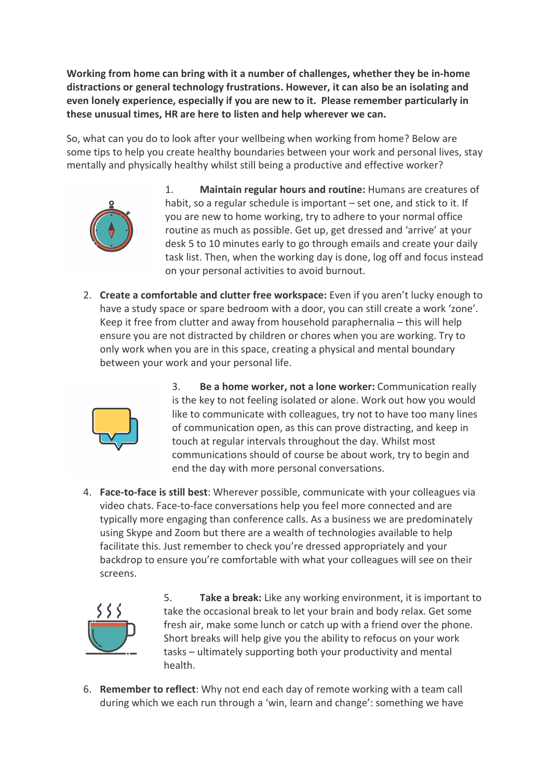**Working from home can bring with it a number of challenges, whether they be in-home distractions or general technology frustrations. However, it can also be an isolating and even lonely experience, especially if you are new to it. Please remember particularly in these unusual times, HR are here to listen and help wherever we can.**

So, what can you do to look after your wellbeing when working from home? Below are some tips to help you create healthy boundaries between your work and personal lives, stay mentally and physically healthy whilst still being a productive and effective worker?



- 1. **Maintain regular hours and routine:** Humans are creatures of habit, so a regular schedule is important – set one, and stick to it. If you are new to home working, try to adhere to your normal office routine as much as possible. Get up, get dressed and 'arrive' at your desk 5 to 10 minutes early to go through emails and create your daily task list. Then, when the working day is done, log off and focus instead on your personal activities to avoid burnout.
- 2. **Create a comfortable and clutter free workspace:** Even if you aren't lucky enough to have a study space or spare bedroom with a door, you can still create a work 'zone'. Keep it free from clutter and away from household paraphernalia – this will help ensure you are not distracted by children or chores when you are working. Try to only work when you are in this space, creating a physical and mental boundary between your work and your personal life.



3. **Be a home worker, not a lone worker:** Communication really is the key to not feeling isolated or alone. Work out how you would like to communicate with colleagues, try not to have too many lines of communication open, as this can prove distracting, and keep in touch at regular intervals throughout the day. Whilst most communications should of course be about work, try to begin and end the day with more personal conversations.

4. **Face-to-face is still best**: Wherever possible, communicate with your colleagues via video chats. Face-to-face conversations help you feel more connected and are typically more engaging than conference calls. As a business we are predominately using Skype and Zoom but there are a wealth of technologies available to help facilitate this. Just remember to check you're dressed appropriately and your backdrop to ensure you're comfortable with what your colleagues will see on their screens.



5. **Take a break:** Like any working environment, it is important to take the occasional break to let your brain and body relax. Get some fresh air, make some lunch or catch up with a friend over the phone. Short breaks will help give you the ability to refocus on your work tasks – ultimately supporting both your productivity and mental health.

6. **Remember to reflect**: Why not end each day of remote working with a team call during which we each run through a 'win, learn and change': something we have